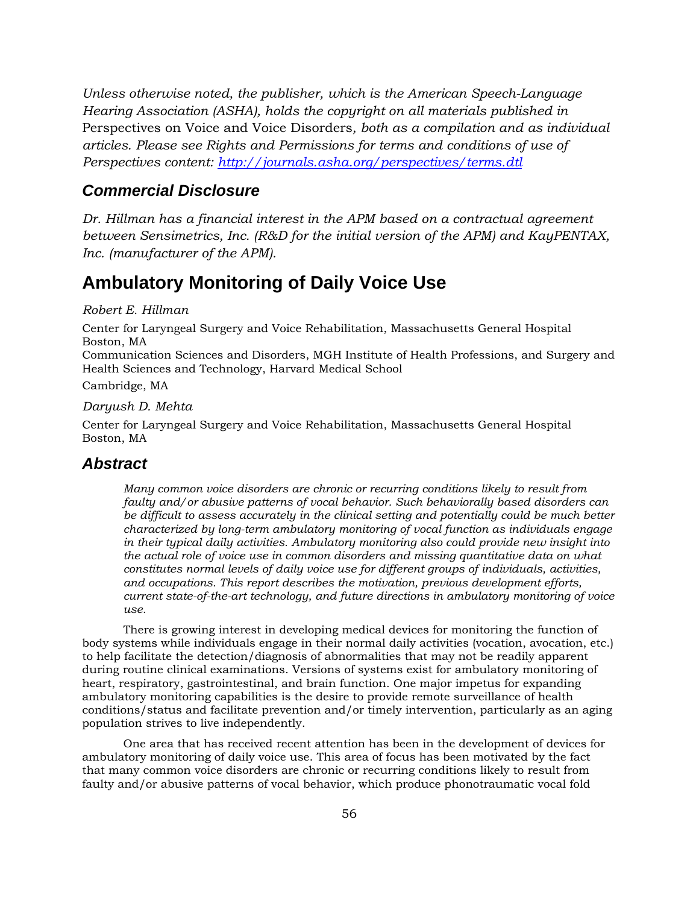*Unless otherwise noted, the publisher, which is the American Speech-Language Hearing Association (ASHA), holds the copyright on all materials published in*  Perspectives on Voice and Voice Disorders*, both as a compilation and as individual articles. Please see Rights and Permissions for terms and conditions of use of Perspectives content: http://journals.asha.org/perspectives/terms.dtl*

# *Commercial Disclosure*

*Dr. Hillman has a financial interest in the APM based on a contractual agreement between Sensimetrics, Inc. (R&D for the initial version of the APM) and KayPENTAX, Inc. (manufacturer of the APM).* 

# **Ambulatory Monitoring of Daily Voice Use**

#### *Robert E. Hillman*

Center for Laryngeal Surgery and Voice Rehabilitation, Massachusetts General Hospital Boston, MA

Communication Sciences and Disorders, MGH Institute of Health Professions, and Surgery and Health Sciences and Technology, Harvard Medical School

Cambridge, MA

#### *Daryush D. Mehta*

Center for Laryngeal Surgery and Voice Rehabilitation, Massachusetts General Hospital Boston, MA

## *Abstract*

*Many common voice disorders are chronic or recurring conditions likely to result from faulty and/or abusive patterns of vocal behavior. Such behaviorally based disorders can be difficult to assess accurately in the clinical setting and potentially could be much better characterized by long-term ambulatory monitoring of vocal function as individuals engage in their typical daily activities. Ambulatory monitoring also could provide new insight into the actual role of voice use in common disorders and missing quantitative data on what constitutes normal levels of daily voice use for different groups of individuals, activities, and occupations. This report describes the motivation, previous development efforts, current state-of-the-art technology, and future directions in ambulatory monitoring of voice use.* 

There is growing interest in developing medical devices for monitoring the function of body systems while individuals engage in their normal daily activities (vocation, avocation, etc.) to help facilitate the detection/diagnosis of abnormalities that may not be readily apparent during routine clinical examinations. Versions of systems exist for ambulatory monitoring of heart, respiratory, gastrointestinal, and brain function. One major impetus for expanding ambulatory monitoring capabilities is the desire to provide remote surveillance of health conditions/status and facilitate prevention and/or timely intervention, particularly as an aging population strives to live independently.

One area that has received recent attention has been in the development of devices for ambulatory monitoring of daily voice use. This area of focus has been motivated by the fact that many common voice disorders are chronic or recurring conditions likely to result from faulty and/or abusive patterns of vocal behavior, which produce phonotraumatic vocal fold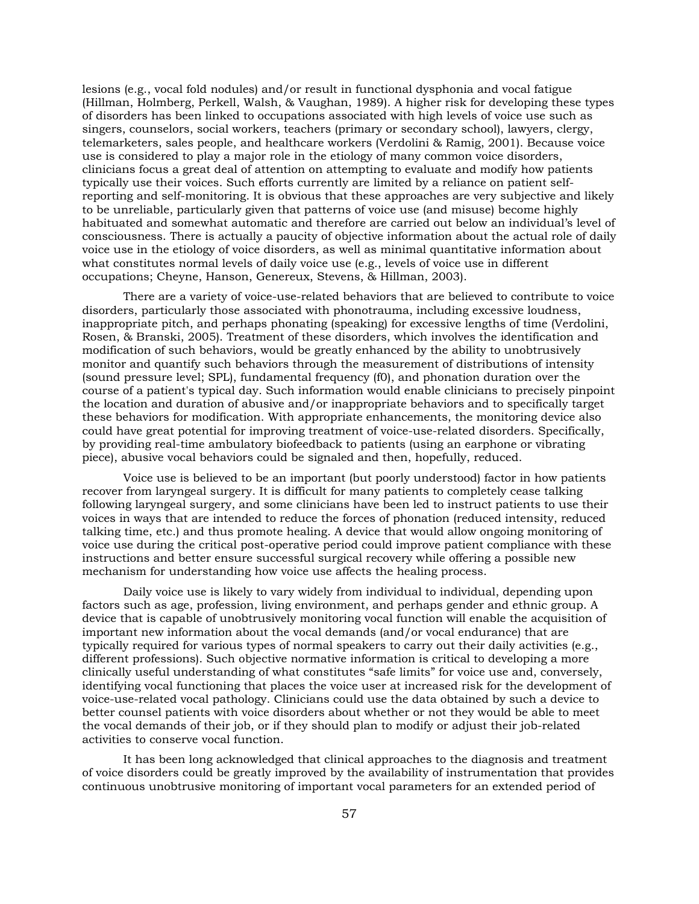lesions (e.g., vocal fold nodules) and/or result in functional dysphonia and vocal fatigue (Hillman, Holmberg, Perkell, Walsh, & Vaughan, 1989). A higher risk for developing these types of disorders has been linked to occupations associated with high levels of voice use such as singers, counselors, social workers, teachers (primary or secondary school), lawyers, clergy, telemarketers, sales people, and healthcare workers (Verdolini & Ramig, 2001). Because voice use is considered to play a major role in the etiology of many common voice disorders, clinicians focus a great deal of attention on attempting to evaluate and modify how patients typically use their voices. Such efforts currently are limited by a reliance on patient selfreporting and self-monitoring. It is obvious that these approaches are very subjective and likely to be unreliable, particularly given that patterns of voice use (and misuse) become highly habituated and somewhat automatic and therefore are carried out below an individual's level of consciousness. There is actually a paucity of objective information about the actual role of daily voice use in the etiology of voice disorders, as well as minimal quantitative information about what constitutes normal levels of daily voice use (e.g., levels of voice use in different occupations; Cheyne, Hanson, Genereux, Stevens, & Hillman, 2003).

There are a variety of voice-use-related behaviors that are believed to contribute to voice disorders, particularly those associated with phonotrauma, including excessive loudness, inappropriate pitch, and perhaps phonating (speaking) for excessive lengths of time (Verdolini, Rosen, & Branski, 2005). Treatment of these disorders, which involves the identification and modification of such behaviors, would be greatly enhanced by the ability to unobtrusively monitor and quantify such behaviors through the measurement of distributions of intensity (sound pressure level; SPL), fundamental frequency (f0), and phonation duration over the course of a patient's typical day. Such information would enable clinicians to precisely pinpoint the location and duration of abusive and/or inappropriate behaviors and to specifically target these behaviors for modification. With appropriate enhancements, the monitoring device also could have great potential for improving treatment of voice-use-related disorders. Specifically, by providing real-time ambulatory biofeedback to patients (using an earphone or vibrating piece), abusive vocal behaviors could be signaled and then, hopefully, reduced.

Voice use is believed to be an important (but poorly understood) factor in how patients recover from laryngeal surgery. It is difficult for many patients to completely cease talking following laryngeal surgery, and some clinicians have been led to instruct patients to use their voices in ways that are intended to reduce the forces of phonation (reduced intensity, reduced talking time, etc.) and thus promote healing. A device that would allow ongoing monitoring of voice use during the critical post-operative period could improve patient compliance with these instructions and better ensure successful surgical recovery while offering a possible new mechanism for understanding how voice use affects the healing process.

Daily voice use is likely to vary widely from individual to individual, depending upon factors such as age, profession, living environment, and perhaps gender and ethnic group. A device that is capable of unobtrusively monitoring vocal function will enable the acquisition of important new information about the vocal demands (and/or vocal endurance) that are typically required for various types of normal speakers to carry out their daily activities (e.g., different professions). Such objective normative information is critical to developing a more clinically useful understanding of what constitutes "safe limits" for voice use and, conversely, identifying vocal functioning that places the voice user at increased risk for the development of voice-use-related vocal pathology. Clinicians could use the data obtained by such a device to better counsel patients with voice disorders about whether or not they would be able to meet the vocal demands of their job, or if they should plan to modify or adjust their job-related activities to conserve vocal function.

It has been long acknowledged that clinical approaches to the diagnosis and treatment of voice disorders could be greatly improved by the availability of instrumentation that provides continuous unobtrusive monitoring of important vocal parameters for an extended period of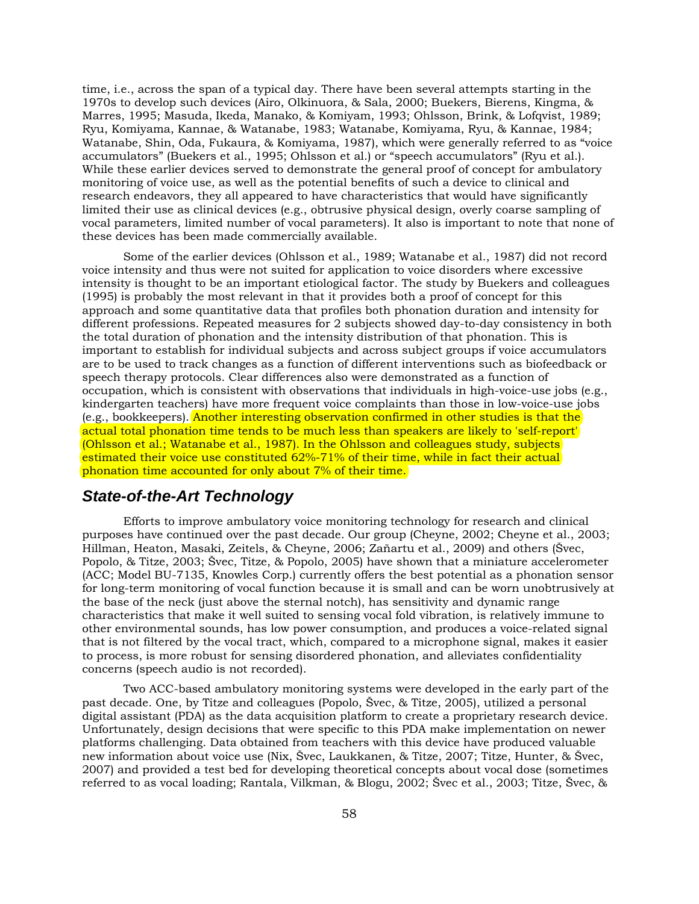time, i.e., across the span of a typical day. There have been several attempts starting in the 1970s to develop such devices (Airo, Olkinuora, & Sala, 2000; Buekers, Bierens, Kingma, & Marres, 1995; Masuda, Ikeda, Manako, & Komiyam, 1993; Ohlsson, Brink, & Lofqvist, 1989; Ryu, Komiyama, Kannae, & Watanabe, 1983; Watanabe, Komiyama, Ryu, & Kannae, 1984; Watanabe, Shin, Oda, Fukaura, & Komiyama, 1987), which were generally referred to as "voice accumulators" (Buekers et al., 1995; Ohlsson et al.) or "speech accumulators" (Ryu et al.). While these earlier devices served to demonstrate the general proof of concept for ambulatory monitoring of voice use, as well as the potential benefits of such a device to clinical and research endeavors, they all appeared to have characteristics that would have significantly limited their use as clinical devices (e.g., obtrusive physical design, overly coarse sampling of vocal parameters, limited number of vocal parameters). It also is important to note that none of these devices has been made commercially available.

Some of the earlier devices (Ohlsson et al., 1989; Watanabe et al., 1987) did not record voice intensity and thus were not suited for application to voice disorders where excessive intensity is thought to be an important etiological factor. The study by Buekers and colleagues (1995) is probably the most relevant in that it provides both a proof of concept for this approach and some quantitative data that profiles both phonation duration and intensity for different professions. Repeated measures for 2 subjects showed day-to-day consistency in both the total duration of phonation and the intensity distribution of that phonation. This is important to establish for individual subjects and across subject groups if voice accumulators are to be used to track changes as a function of different interventions such as biofeedback or speech therapy protocols. Clear differences also were demonstrated as a function of occupation, which is consistent with observations that individuals in high-voice-use jobs (e.g., kindergarten teachers) have more frequent voice complaints than those in low-voice-use jobs (e.g., bookkeepers). Another interesting observation confirmed in other studies is that the actual total phonation time tends to be much less than speakers are likely to 'self-report' (Ohlsson et al.; Watanabe et al., 1987). In the Ohlsson and colleagues study, subjects estimated their voice use constituted 62%-71% of their time, while in fact their actual phonation time accounted for only about 7% of their time.

# *State-of-the-Art Technology*

Efforts to improve ambulatory voice monitoring technology for research and clinical purposes have continued over the past decade. Our group (Cheyne, 2002; Cheyne et al., 2003; Hillman, Heaton, Masaki, Zeitels, & Cheyne, 2006; Zañartu et al., 2009) and others (Švec, Popolo, & Titze, 2003; Švec, Titze, & Popolo, 2005) have shown that a miniature accelerometer (ACC; Model BU-7135, Knowles Corp.) currently offers the best potential as a phonation sensor for long-term monitoring of vocal function because it is small and can be worn unobtrusively at the base of the neck (just above the sternal notch), has sensitivity and dynamic range characteristics that make it well suited to sensing vocal fold vibration, is relatively immune to other environmental sounds, has low power consumption, and produces a voice-related signal that is not filtered by the vocal tract, which, compared to a microphone signal, makes it easier to process, is more robust for sensing disordered phonation, and alleviates confidentiality concerns (speech audio is not recorded).

Two ACC-based ambulatory monitoring systems were developed in the early part of the past decade. One, by Titze and colleagues (Popolo, Švec, & Titze, 2005), utilized a personal digital assistant (PDA) as the data acquisition platform to create a proprietary research device. Unfortunately, design decisions that were specific to this PDA make implementation on newer platforms challenging. Data obtained from teachers with this device have produced valuable new information about voice use (Nix, Švec, Laukkanen, & Titze, 2007; Titze, Hunter, & Švec, 2007) and provided a test bed for developing theoretical concepts about vocal dose (sometimes referred to as vocal loading; Rantala, Vilkman, & Blogu, 2002; Švec et al., 2003; Titze, Švec, &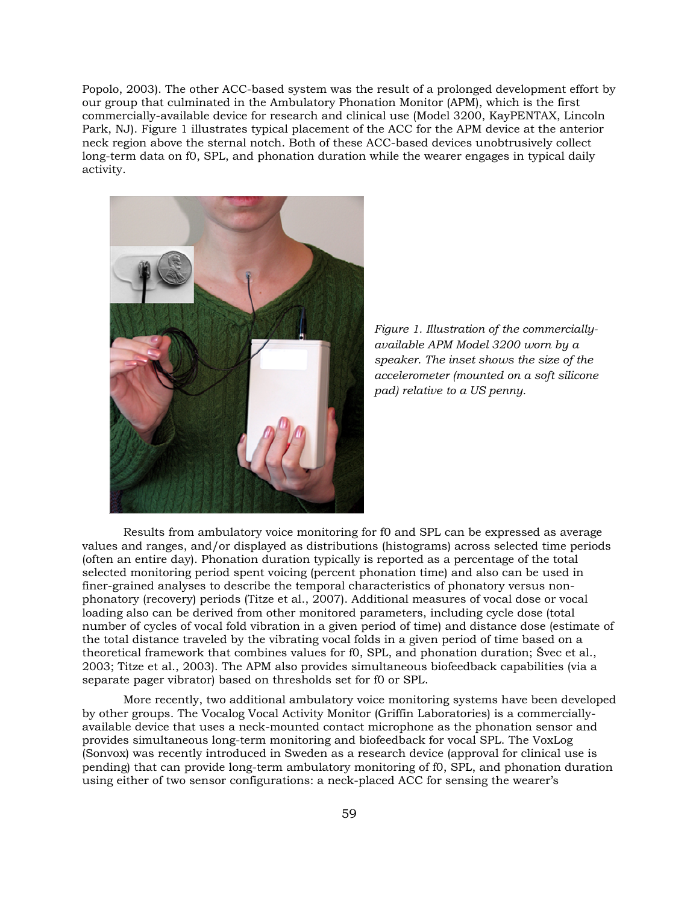Popolo, 2003). The other ACC-based system was the result of a prolonged development effort by our group that culminated in the Ambulatory Phonation Monitor (APM), which is the first commercially-available device for research and clinical use (Model 3200, KayPENTAX, Lincoln Park, NJ). Figure 1 illustrates typical placement of the ACC for the APM device at the anterior neck region above the sternal notch. Both of these ACC-based devices unobtrusively collect long-term data on f0, SPL, and phonation duration while the wearer engages in typical daily activity.



*Figure 1. Illustration of the commerciallyavailable APM Model 3200 worn by a speaker. The inset shows the size of the accelerometer (mounted on a soft silicone pad) relative to a US penny.* 

Results from ambulatory voice monitoring for f0 and SPL can be expressed as average values and ranges, and/or displayed as distributions (histograms) across selected time periods (often an entire day). Phonation duration typically is reported as a percentage of the total selected monitoring period spent voicing (percent phonation time) and also can be used in finer-grained analyses to describe the temporal characteristics of phonatory versus nonphonatory (recovery) periods (Titze et al., 2007). Additional measures of vocal dose or vocal loading also can be derived from other monitored parameters, including cycle dose (total number of cycles of vocal fold vibration in a given period of time) and distance dose (estimate of the total distance traveled by the vibrating vocal folds in a given period of time based on a theoretical framework that combines values for f0, SPL, and phonation duration; Švec et al., 2003; Titze et al., 2003). The APM also provides simultaneous biofeedback capabilities (via a separate pager vibrator) based on thresholds set for f0 or SPL.

More recently, two additional ambulatory voice monitoring systems have been developed by other groups. The Vocalog Vocal Activity Monitor (Griffin Laboratories) is a commerciallyavailable device that uses a neck-mounted contact microphone as the phonation sensor and provides simultaneous long-term monitoring and biofeedback for vocal SPL. The VoxLog (Sonvox) was recently introduced in Sweden as a research device (approval for clinical use is pending) that can provide long-term ambulatory monitoring of f0, SPL, and phonation duration using either of two sensor configurations: a neck-placed ACC for sensing the wearer's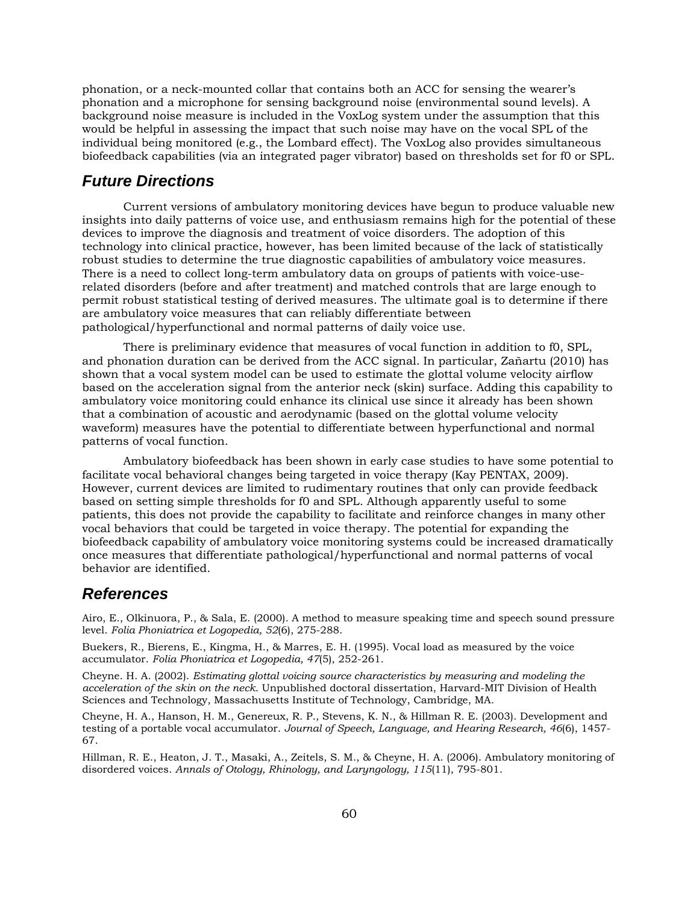phonation, or a neck-mounted collar that contains both an ACC for sensing the wearer's phonation and a microphone for sensing background noise (environmental sound levels). A background noise measure is included in the VoxLog system under the assumption that this would be helpful in assessing the impact that such noise may have on the vocal SPL of the individual being monitored (e.g., the Lombard effect). The VoxLog also provides simultaneous biofeedback capabilities (via an integrated pager vibrator) based on thresholds set for f0 or SPL.

# *Future Directions*

Current versions of ambulatory monitoring devices have begun to produce valuable new insights into daily patterns of voice use, and enthusiasm remains high for the potential of these devices to improve the diagnosis and treatment of voice disorders. The adoption of this technology into clinical practice, however, has been limited because of the lack of statistically robust studies to determine the true diagnostic capabilities of ambulatory voice measures. There is a need to collect long-term ambulatory data on groups of patients with voice-userelated disorders (before and after treatment) and matched controls that are large enough to permit robust statistical testing of derived measures. The ultimate goal is to determine if there are ambulatory voice measures that can reliably differentiate between pathological/hyperfunctional and normal patterns of daily voice use.

There is preliminary evidence that measures of vocal function in addition to f0, SPL, and phonation duration can be derived from the ACC signal. In particular, Zañartu (2010) has shown that a vocal system model can be used to estimate the glottal volume velocity airflow based on the acceleration signal from the anterior neck (skin) surface. Adding this capability to ambulatory voice monitoring could enhance its clinical use since it already has been shown that a combination of acoustic and aerodynamic (based on the glottal volume velocity waveform) measures have the potential to differentiate between hyperfunctional and normal patterns of vocal function.

Ambulatory biofeedback has been shown in early case studies to have some potential to facilitate vocal behavioral changes being targeted in voice therapy (Kay PENTAX, 2009). However, current devices are limited to rudimentary routines that only can provide feedback based on setting simple thresholds for f0 and SPL. Although apparently useful to some patients, this does not provide the capability to facilitate and reinforce changes in many other vocal behaviors that could be targeted in voice therapy. The potential for expanding the biofeedback capability of ambulatory voice monitoring systems could be increased dramatically once measures that differentiate pathological/hyperfunctional and normal patterns of vocal behavior are identified.

### *References*

Airo, E., Olkinuora, P., & Sala, E. (2000). A method to measure speaking time and speech sound pressure level. *Folia Phoniatrica et Logopedia, 52*(6), 275-288.

Buekers, R., Bierens, E., Kingma, H., & Marres, E. H. (1995). Vocal load as measured by the voice accumulator. *Folia Phoniatrica et Logopedia, 47*(5), 252-261.

Cheyne. H. A. (2002). *Estimating glottal voicing source characteristics by measuring and modeling the acceleration of the skin on the neck*. Unpublished doctoral dissertation, Harvard-MIT Division of Health Sciences and Technology, Massachusetts Institute of Technology, Cambridge, MA.

Cheyne, H. A., Hanson, H. M., Genereux, R. P., Stevens, K. N., & Hillman R. E. (2003). Development and testing of a portable vocal accumulator. *Journal of Speech, Language, and Hearing Research, 46*(6), 1457- 67.

Hillman, R. E., Heaton, J. T., Masaki, A., Zeitels, S. M., & Cheyne, H. A. (2006). Ambulatory monitoring of disordered voices. *Annals of Otology, Rhinology, and Laryngology, 115*(11), 795-801.